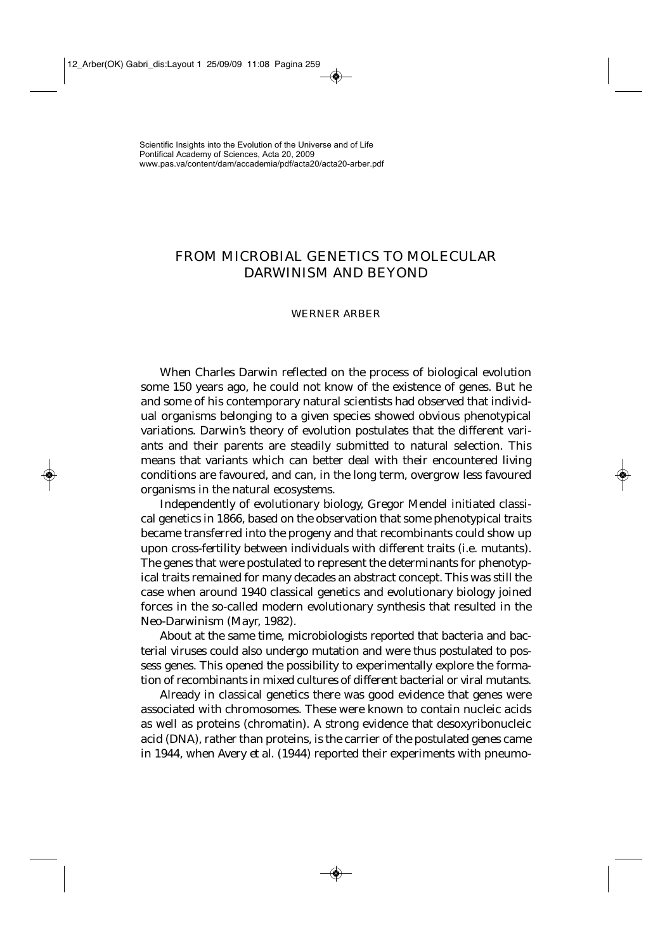## FROM MICROBIAL GENETICS TO MOLECULAR DARWINISM AND BEYOND

## WERNER ARBER

When Charles Darwin reflected on the process of biological evolution some 150 years ago, he could not know of the existence of genes. But he and some of his contemporary natural scientists had observed that individual organisms belonging to a given species showed obvious phenotypical variations. Darwin's theory of evolution postulates that the different variants and their parents are steadily submitted to natural selection. This means that variants which can better deal with their encountered living conditions are favoured, and can, in the long term, overgrow less favoured organisms in the natural ecosystems.

Independently of evolutionary biology, Gregor Mendel initiated classical genetics in 1866, based on the observation that some phenotypical traits became transferred into the progeny and that recombinants could show up upon cross-fertility between individuals with different traits (i.e. mutants). The genes that were postulated to represent the determinants for phenotypical traits remained for many decades an abstract concept. This was still the case when around 1940 classical genetics and evolutionary biology joined forces in the so-called modern evolutionary synthesis that resulted in the Neo-Darwinism (Mayr, 1982).

About at the same time, microbiologists reported that bacteria and bacterial viruses could also undergo mutation and were thus postulated to possess genes. This opened the possibility to experimentally explore the formation of recombinants in mixed cultures of different bacterial or viral mutants.

Already in classical genetics there was good evidence that genes were associated with chromosomes. These were known to contain nucleic acids as well as proteins (chromatin). A strong evidence that desoxyribonucleic acid (DNA), rather than proteins, is the carrier of the postulated genes came in 1944, when Avery *et al*. (1944) reported their experiments with pneumo-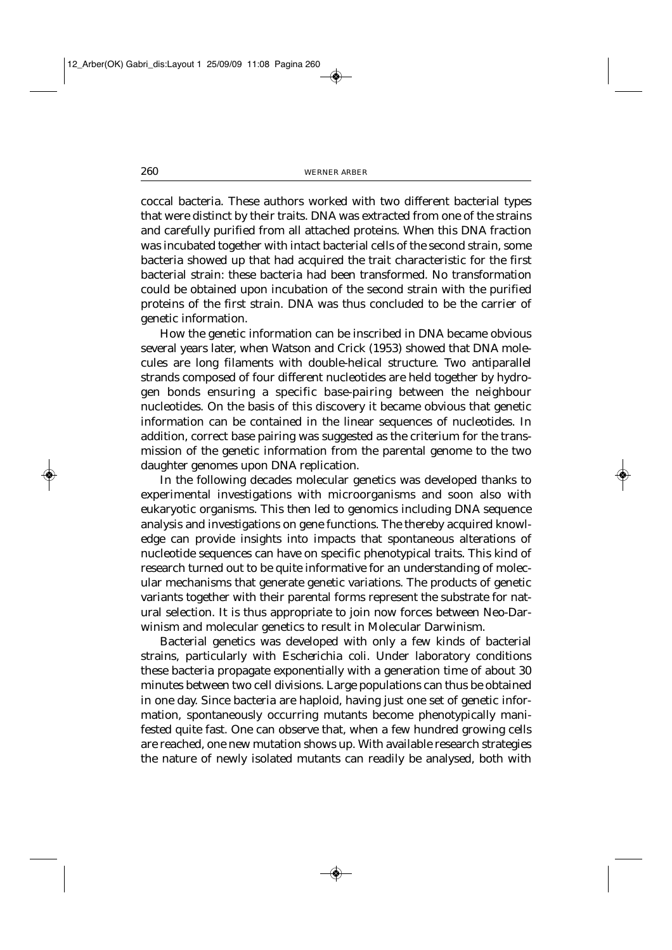coccal bacteria. These authors worked with two different bacterial types that were distinct by their traits. DNA was extracted from one of the strains and carefully purified from all attached proteins. When this DNA fraction was incubated together with intact bacterial cells of the second strain, some bacteria showed up that had acquired the trait characteristic for the first bacterial strain: these bacteria had been transformed. No transformation could be obtained upon incubation of the second strain with the purified proteins of the first strain. DNA was thus concluded to be the carrier of genetic information.

How the genetic information can be inscribed in DNA became obvious several years later, when Watson and Crick (1953) showed that DNA molecules are long filaments with double-helical structure. Two antiparallel strands composed of four different nucleotides are held together by hydrogen bonds ensuring a specific base-pairing between the neighbour nucleotides. On the basis of this discovery it became obvious that genetic information can be contained in the linear sequences of nucleotides. In addition, correct base pairing was suggested as the criterium for the transmission of the genetic information from the parental genome to the two daughter genomes upon DNA replication.

In the following decades molecular genetics was developed thanks to experimental investigations with microorganisms and soon also with eukaryotic organisms. This then led to genomics including DNA sequence analysis and investigations on gene functions. The thereby acquired knowledge can provide insights into impacts that spontaneous alterations of nucleotide sequences can have on specific phenotypical traits. This kind of research turned out to be quite informative for an understanding of molecular mechanisms that generate genetic variations. The products of genetic variants together with their parental forms represent the substrate for natural selection. It is thus appropriate to join now forces between Neo-Darwinism and molecular genetics to result in Molecular Darwinism.

Bacterial genetics was developed with only a few kinds of bacterial strains, particularly with *Escherichia coli*. Under laboratory conditions these bacteria propagate exponentially with a generation time of about 30 minutes between two cell divisions. Large populations can thus be obtained in one day. Since bacteria are haploid, having just one set of genetic information, spontaneously occurring mutants become phenotypically manifested quite fast. One can observe that, when a few hundred growing cells are reached, one new mutation shows up. With available research strategies the nature of newly isolated mutants can readily be analysed, both with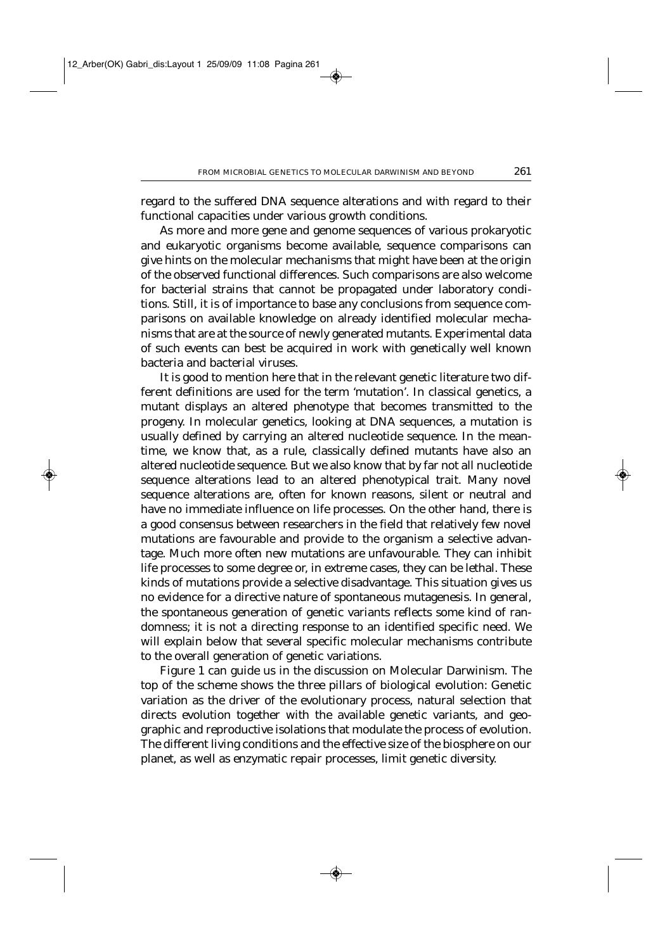regard to the suffered DNA sequence alterations and with regard to their functional capacities under various growth conditions.

As more and more gene and genome sequences of various prokaryotic and eukaryotic organisms become available, sequence comparisons can give hints on the molecular mechanisms that might have been at the origin of the observed functional differences. Such comparisons are also welcome for bacterial strains that cannot be propagated under laboratory conditions. Still, it is of importance to base any conclusions from sequence comparisons on available knowledge on already identified molecular mechanisms that are at the source of newly generated mutants. Experimental data of such events can best be acquired in work with genetically well known bacteria and bacterial viruses.

It is good to mention here that in the relevant genetic literature two different definitions are used for the term 'mutation'. In classical genetics, a mutant displays an altered phenotype that becomes transmitted to the progeny. In molecular genetics, looking at DNA sequences, a mutation is usually defined by carrying an altered nucleotide sequence. In the meantime, we know that, as a rule, classically defined mutants have also an altered nucleotide sequence. But we also know that by far not all nucleotide sequence alterations lead to an altered phenotypical trait. Many novel sequence alterations are, often for known reasons, silent or neutral and have no immediate influence on life processes. On the other hand, there is a good consensus between researchers in the field that relatively few novel mutations are favourable and provide to the organism a selective advantage. Much more often new mutations are unfavourable. They can inhibit life processes to some degree or, in extreme cases, they can be lethal. These kinds of mutations provide a selective disadvantage. This situation gives us no evidence for a directive nature of spontaneous mutagenesis. In general, the spontaneous generation of genetic variants reflects some kind of randomness; it is not a directing response to an identified specific need. We will explain below that several specific molecular mechanisms contribute to the overall generation of genetic variations.

Figure 1 can guide us in the discussion on Molecular Darwinism. The top of the scheme shows the three pillars of biological evolution: Genetic variation as the driver of the evolutionary process, natural selection that directs evolution together with the available genetic variants, and geographic and reproductive isolations that modulate the process of evolution. The different living conditions and the effective size of the biosphere on our planet, as well as enzymatic repair processes, limit genetic diversity.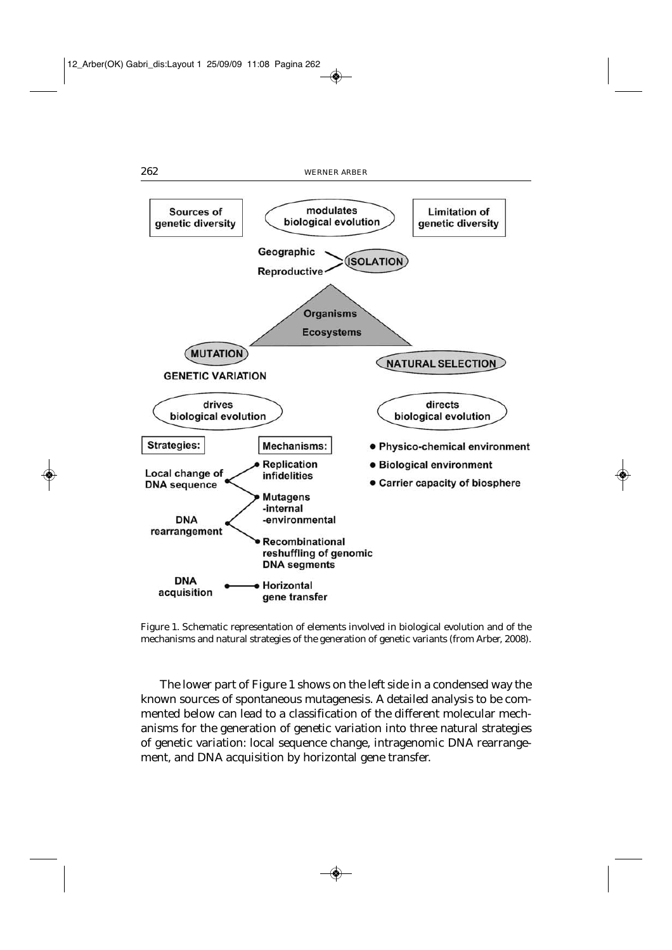

Figure 1. Schematic representation of elements involved in biological evolution and of the mechanisms and natural strategies of the generation of genetic variants (from Arber, 2008).

The lower part of Figure 1 shows on the left side in a condensed way the known sources of spontaneous mutagenesis. A detailed analysis to be commented below can lead to a classification of the different molecular mechanisms for the generation of genetic variation into three natural strategies of genetic variation: local sequence change, intragenomic DNA rearrangement, and DNA acquisition by horizontal gene transfer.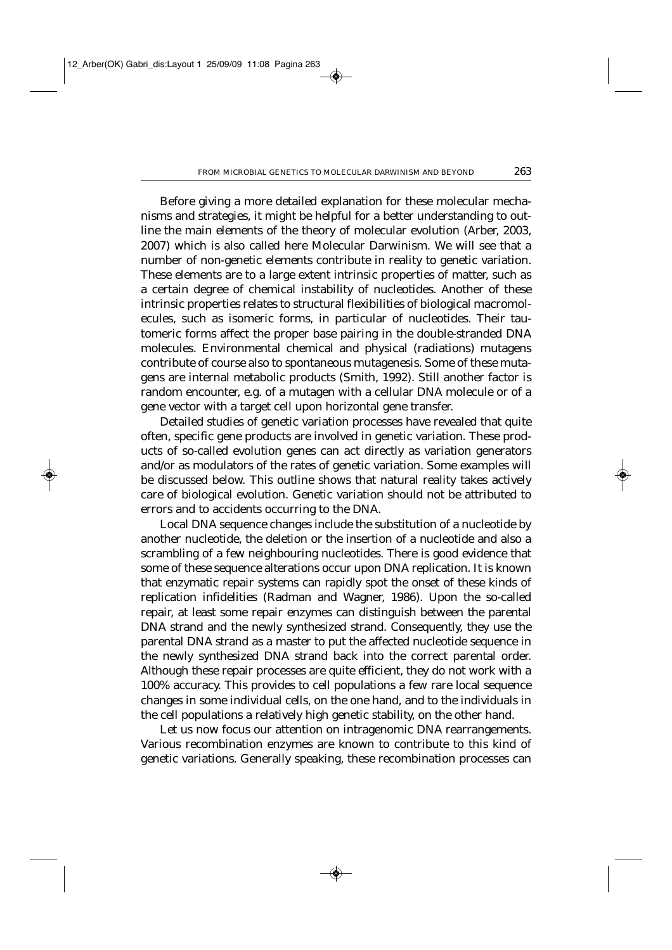Before giving a more detailed explanation for these molecular mechanisms and strategies, it might be helpful for a better understanding to outline the main elements of the theory of molecular evolution (Arber, 2003, 2007) which is also called here Molecular Darwinism. We will see that a number of non-genetic elements contribute in reality to genetic variation. These elements are to a large extent intrinsic properties of matter, such as a certain degree of chemical instability of nucleotides. Another of these intrinsic properties relates to structural flexibilities of biological macromolecules, such as isomeric forms, in particular of nucleotides. Their tautomeric forms affect the proper base pairing in the double-stranded DNA molecules. Environmental chemical and physical (radiations) mutagens contribute of course also to spontaneous mutagenesis. Some of these mutagens are internal metabolic products (Smith, 1992). Still another factor is random encounter, e.g. of a mutagen with a cellular DNA molecule or of a gene vector with a target cell upon horizontal gene transfer.

Detailed studies of genetic variation processes have revealed that quite often, specific gene products are involved in genetic variation. These products of so-called evolution genes can act directly as variation generators and/or as modulators of the rates of genetic variation. Some examples will be discussed below. This outline shows that natural reality takes actively care of biological evolution. Genetic variation should not be attributed to errors and to accidents occurring to the DNA.

Local DNA sequence changes include the substitution of a nucleotide by another nucleotide, the deletion or the insertion of a nucleotide and also a scrambling of a few neighbouring nucleotides. There is good evidence that some of these sequence alterations occur upon DNA replication. It is known that enzymatic repair systems can rapidly spot the onset of these kinds of replication infidelities (Radman and Wagner, 1986). Upon the so-called repair, at least some repair enzymes can distinguish between the parental DNA strand and the newly synthesized strand. Consequently, they use the parental DNA strand as a master to put the affected nucleotide sequence in the newly synthesized DNA strand back into the correct parental order. Although these repair processes are quite efficient, they do not work with a 100% accuracy. This provides to cell populations a few rare local sequence changes in some individual cells, on the one hand, and to the individuals in the cell populations a relatively high genetic stability, on the other hand.

Let us now focus our attention on intragenomic DNA rearrangements. Various recombination enzymes are known to contribute to this kind of genetic variations. Generally speaking, these recombination processes can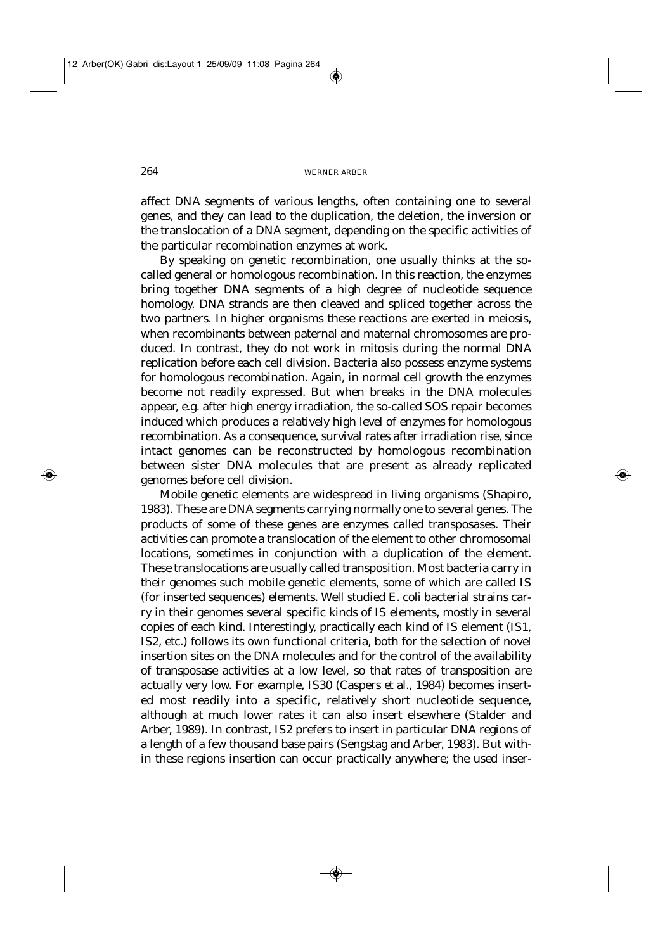affect DNA segments of various lengths, often containing one to several genes, and they can lead to the duplication, the deletion, the inversion or the translocation of a DNA segment, depending on the specific activities of the particular recombination enzymes at work.

By speaking on genetic recombination, one usually thinks at the socalled general or homologous recombination. In this reaction, the enzymes bring together DNA segments of a high degree of nucleotide sequence homology. DNA strands are then cleaved and spliced together across the two partners. In higher organisms these reactions are exerted in meiosis, when recombinants between paternal and maternal chromosomes are produced. In contrast, they do not work in mitosis during the normal DNA replication before each cell division. Bacteria also possess enzyme systems for homologous recombination. Again, in normal cell growth the enzymes become not readily expressed. But when breaks in the DNA molecules appear, e.g. after high energy irradiation, the so-called SOS repair becomes induced which produces a relatively high level of enzymes for homologous recombination. As a consequence, survival rates after irradiation rise, since intact genomes can be reconstructed by homologous recombination between sister DNA molecules that are present as already replicated genomes before cell division.

Mobile genetic elements are widespread in living organisms (Shapiro, 1983). These are DNA segments carrying normally one to several genes. The products of some of these genes are enzymes called transposases. Their activities can promote a translocation of the element to other chromosomal locations, sometimes in conjunction with a duplication of the element. These translocations are usually called transposition. Most bacteria carry in their genomes such mobile genetic elements, some of which are called IS (for inserted sequences) elements. Well studied *E. coli* bacterial strains carry in their genomes several specific kinds of IS elements, mostly in several copies of each kind. Interestingly, practically each kind of IS element (IS1, IS2, etc.) follows its own functional criteria, both for the selection of novel insertion sites on the DNA molecules and for the control of the availability of transposase activities at a low level, so that rates of transposition are actually very low. For example, IS30 (Caspers *et al.,* 1984) becomes inserted most readily into a specific, relatively short nucleotide sequence, although at much lower rates it can also insert elsewhere (Stalder and Arber, 1989). In contrast, IS2 prefers to insert in particular DNA regions of a length of a few thousand base pairs (Sengstag and Arber, 1983). But within these regions insertion can occur practically anywhere; the used inser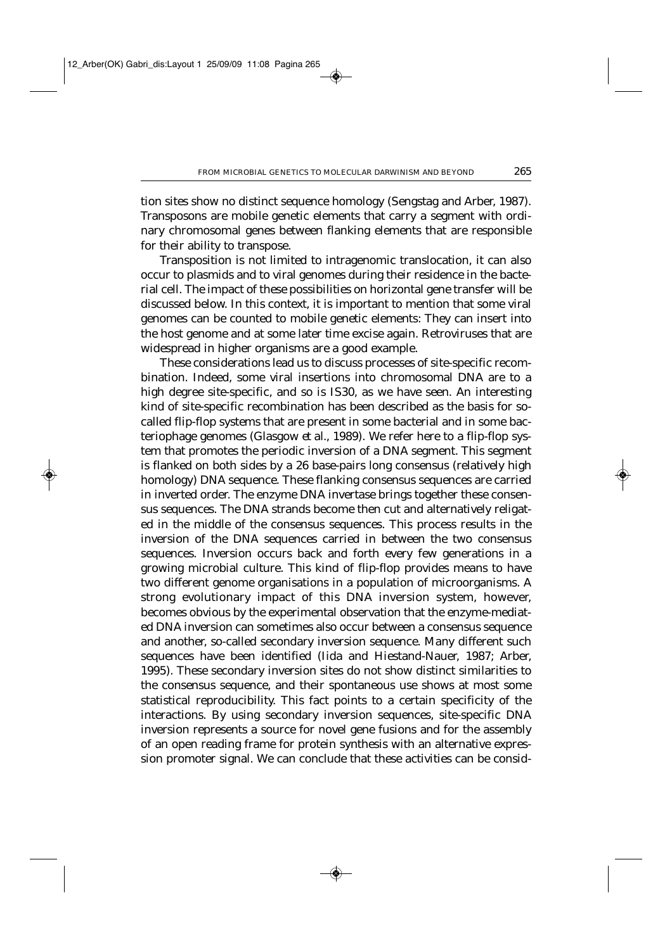tion sites show no distinct sequence homology (Sengstag and Arber, 1987). Transposons are mobile genetic elements that carry a segment with ordinary chromosomal genes between flanking elements that are responsible for their ability to transpose.

Transposition is not limited to intragenomic translocation, it can also occur to plasmids and to viral genomes during their residence in the bacterial cell. The impact of these possibilities on horizontal gene transfer will be discussed below. In this context, it is important to mention that some viral genomes can be counted to mobile genetic elements: They can insert into the host genome and at some later time excise again. Retroviruses that are widespread in higher organisms are a good example.

These considerations lead us to discuss processes of site-specific recombination. Indeed, some viral insertions into chromosomal DNA are to a high degree site-specific, and so is IS30, as we have seen. An interesting kind of site-specific recombination has been described as the basis for socalled flip-flop systems that are present in some bacterial and in some bacteriophage genomes (Glasgow *et al.*, 1989). We refer here to a flip-flop system that promotes the periodic inversion of a DNA segment. This segment is flanked on both sides by a 26 base-pairs long consensus (relatively high homology) DNA sequence. These flanking consensus sequences are carried in inverted order. The enzyme DNA invertase brings together these consensus sequences. The DNA strands become then cut and alternatively religated in the middle of the consensus sequences. This process results in the inversion of the DNA sequences carried in between the two consensus sequences. Inversion occurs back and forth every few generations in a growing microbial culture. This kind of flip-flop provides means to have two different genome organisations in a population of microorganisms. A strong evolutionary impact of this DNA inversion system, however, becomes obvious by the experimental observation that the enzyme-mediated DNA inversion can sometimes also occur between a consensus sequence and another, so-called secondary inversion sequence. Many different such sequences have been identified (Iida and Hiestand-Nauer, 1987; Arber, 1995). These secondary inversion sites do not show distinct similarities to the consensus sequence, and their spontaneous use shows at most some statistical reproducibility. This fact points to a certain specificity of the interactions. By using secondary inversion sequences, site-specific DNA inversion represents a source for novel gene fusions and for the assembly of an open reading frame for protein synthesis with an alternative expression promoter signal. We can conclude that these activities can be consid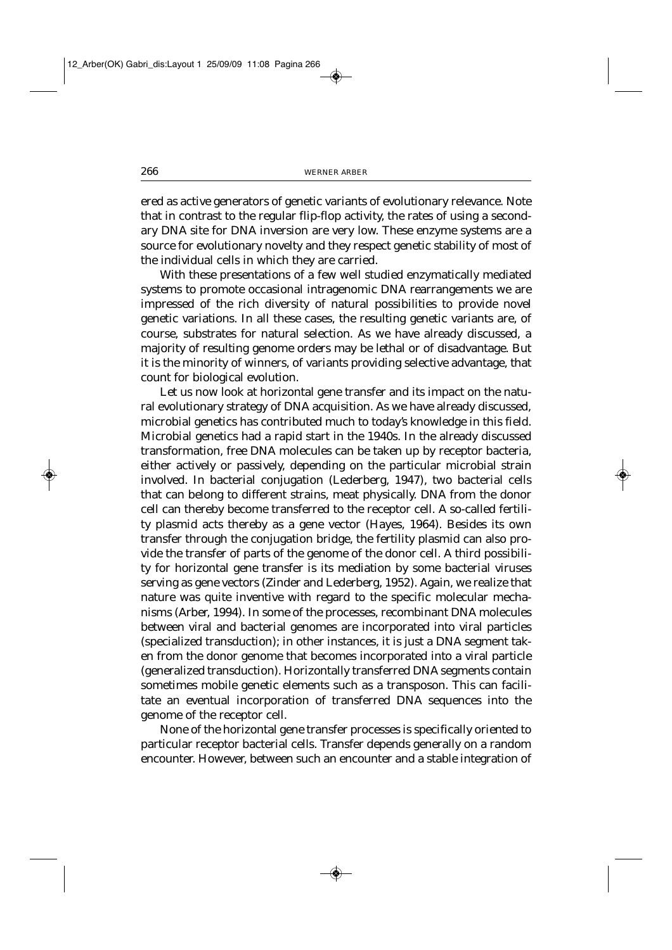ered as active generators of genetic variants of evolutionary relevance. Note that in contrast to the regular flip-flop activity, the rates of using a secondary DNA site for DNA inversion are very low. These enzyme systems are a source for evolutionary novelty and they respect genetic stability of most of the individual cells in which they are carried.

With these presentations of a few well studied enzymatically mediated systems to promote occasional intragenomic DNA rearrangements we are impressed of the rich diversity of natural possibilities to provide novel genetic variations. In all these cases, the resulting genetic variants are, of course, substrates for natural selection. As we have already discussed, a majority of resulting genome orders may be lethal or of disadvantage. But it is the minority of winners, of variants providing selective advantage, that count for biological evolution.

Let us now look at horizontal gene transfer and its impact on the natural evolutionary strategy of DNA acquisition. As we have already discussed, microbial genetics has contributed much to today's knowledge in this field. Microbial genetics had a rapid start in the 1940s. In the already discussed transformation, free DNA molecules can be taken up by receptor bacteria, either actively or passively, depending on the particular microbial strain involved. In bacterial conjugation (Lederberg, 1947), two bacterial cells that can belong to different strains, meat physically. DNA from the donor cell can thereby become transferred to the receptor cell. A so-called fertility plasmid acts thereby as a gene vector (Hayes, 1964). Besides its own transfer through the conjugation bridge, the fertility plasmid can also provide the transfer of parts of the genome of the donor cell. A third possibility for horizontal gene transfer is its mediation by some bacterial viruses serving as gene vectors (Zinder and Lederberg, 1952). Again, we realize that nature was quite inventive with regard to the specific molecular mechanisms (Arber, 1994). In some of the processes, recombinant DNA molecules between viral and bacterial genomes are incorporated into viral particles (specialized transduction); in other instances, it is just a DNA segment taken from the donor genome that becomes incorporated into a viral particle (generalized transduction). Horizontally transferred DNA segments contain sometimes mobile genetic elements such as a transposon. This can facilitate an eventual incorporation of transferred DNA sequences into the genome of the receptor cell.

None of the horizontal gene transfer processes is specifically oriented to particular receptor bacterial cells. Transfer depends generally on a random encounter. However, between such an encounter and a stable integration of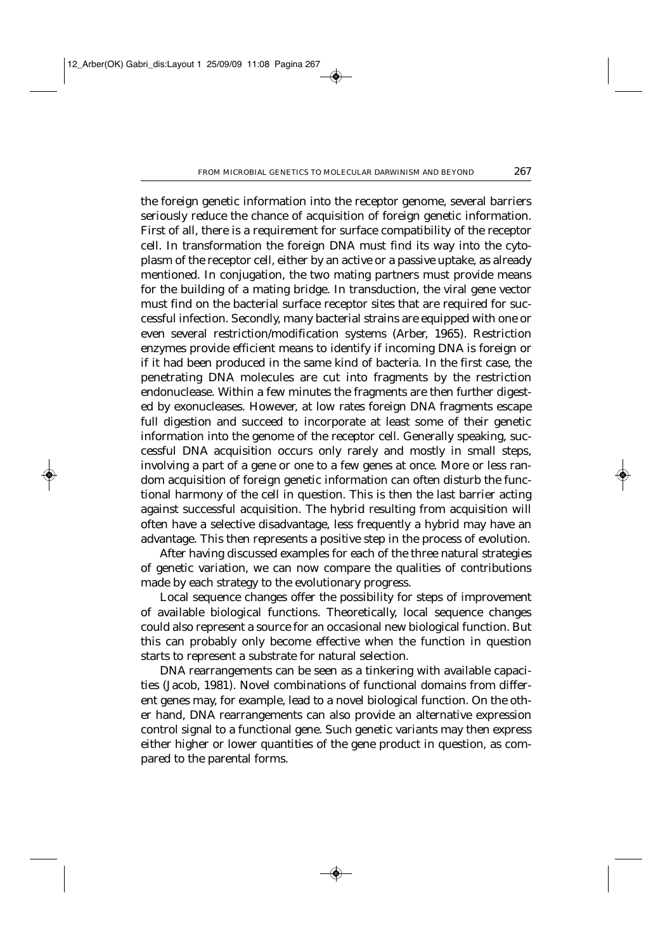the foreign genetic information into the receptor genome, several barriers seriously reduce the chance of acquisition of foreign genetic information. First of all, there is a requirement for surface compatibility of the receptor cell. In transformation the foreign DNA must find its way into the cytoplasm of the receptor cell, either by an active or a passive uptake, as already mentioned. In conjugation, the two mating partners must provide means for the building of a mating bridge. In transduction, the viral gene vector must find on the bacterial surface receptor sites that are required for successful infection. Secondly, many bacterial strains are equipped with one or even several restriction/modification systems (Arber, 1965). Restriction enzymes provide efficient means to identify if incoming DNA is foreign or if it had been produced in the same kind of bacteria. In the first case, the penetrating DNA molecules are cut into fragments by the restriction endonuclease. Within a few minutes the fragments are then further digested by exonucleases. However, at low rates foreign DNA fragments escape full digestion and succeed to incorporate at least some of their genetic information into the genome of the receptor cell. Generally speaking, successful DNA acquisition occurs only rarely and mostly in small steps, involving a part of a gene or one to a few genes at once. More or less random acquisition of foreign genetic information can often disturb the functional harmony of the cell in question. This is then the last barrier acting against successful acquisition. The hybrid resulting from acquisition will often have a selective disadvantage, less frequently a hybrid may have an advantage. This then represents a positive step in the process of evolution.

After having discussed examples for each of the three natural strategies of genetic variation, we can now compare the qualities of contributions made by each strategy to the evolutionary progress.

Local sequence changes offer the possibility for steps of improvement of available biological functions. Theoretically, local sequence changes could also represent a source for an occasional new biological function. But this can probably only become effective when the function in question starts to represent a substrate for natural selection.

DNA rearrangements can be seen as a tinkering with available capacities (Jacob, 1981). Novel combinations of functional domains from different genes may, for example, lead to a novel biological function. On the other hand, DNA rearrangements can also provide an alternative expression control signal to a functional gene. Such genetic variants may then express either higher or lower quantities of the gene product in question, as compared to the parental forms.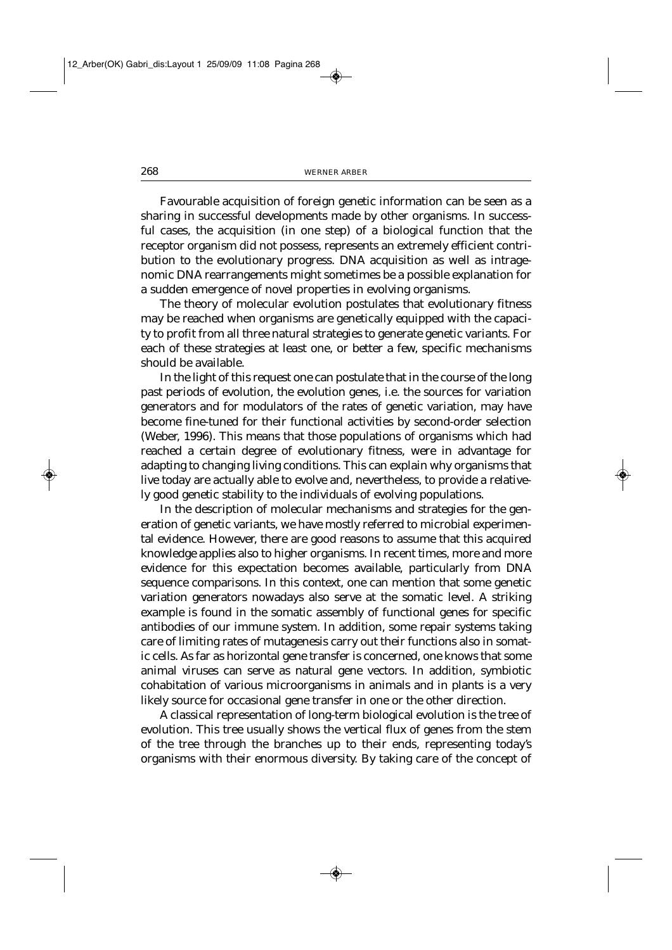Favourable acquisition of foreign genetic information can be seen as a sharing in successful developments made by other organisms. In successful cases, the acquisition (in one step) of a biological function that the receptor organism did not possess, represents an extremely efficient contribution to the evolutionary progress. DNA acquisition as well as intragenomic DNA rearrangements might sometimes be a possible explanation for a sudden emergence of novel properties in evolving organisms.

The theory of molecular evolution postulates that evolutionary fitness may be reached when organisms are genetically equipped with the capacity to profit from all three natural strategies to generate genetic variants. For each of these strategies at least one, or better a few, specific mechanisms should be available.

In the light of this request one can postulate that in the course of the long past periods of evolution, the evolution genes, i.e. the sources for variation generators and for modulators of the rates of genetic variation, may have become fine-tuned for their functional activities by second-order selection (Weber, 1996). This means that those populations of organisms which had reached a certain degree of evolutionary fitness, were in advantage for adapting to changing living conditions. This can explain why organisms that live today are actually able to evolve and, nevertheless, to provide a relatively good genetic stability to the individuals of evolving populations.

In the description of molecular mechanisms and strategies for the generation of genetic variants, we have mostly referred to microbial experimental evidence. However, there are good reasons to assume that this acquired knowledge applies also to higher organisms. In recent times, more and more evidence for this expectation becomes available, particularly from DNA sequence comparisons. In this context, one can mention that some genetic variation generators nowadays also serve at the somatic level. A striking example is found in the somatic assembly of functional genes for specific antibodies of our immune system. In addition, some repair systems taking care of limiting rates of mutagenesis carry out their functions also in somatic cells. As far as horizontal gene transfer is concerned, one knows that some animal viruses can serve as natural gene vectors. In addition, symbiotic cohabitation of various microorganisms in animals and in plants is a very likely source for occasional gene transfer in one or the other direction.

A classical representation of long-term biological evolution is the tree of evolution. This tree usually shows the vertical flux of genes from the stem of the tree through the branches up to their ends, representing today's organisms with their enormous diversity. By taking care of the concept of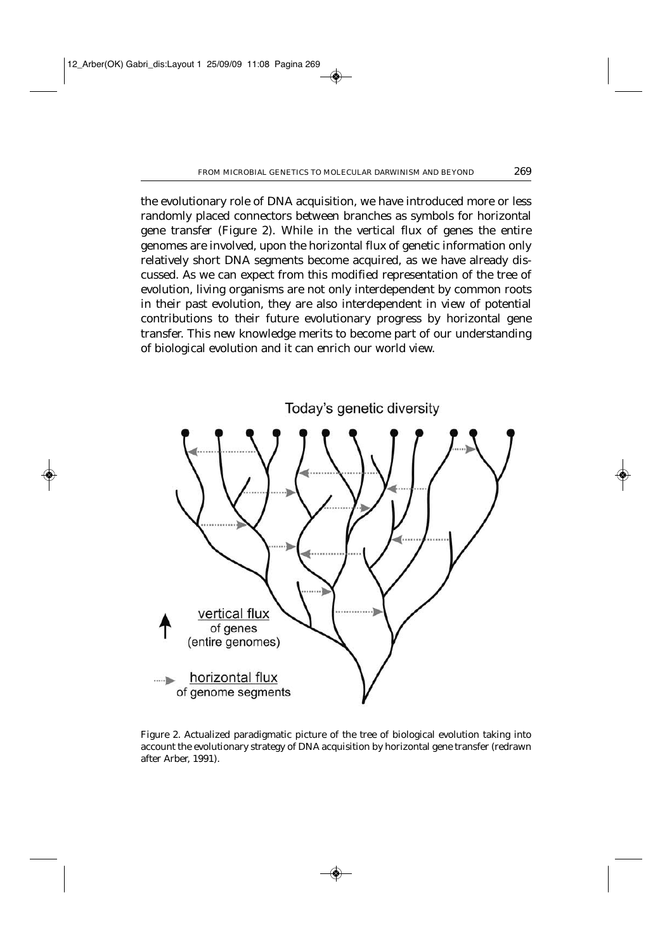the evolutionary role of DNA acquisition, we have introduced more or less randomly placed connectors between branches as symbols for horizontal gene transfer (Figure 2). While in the vertical flux of genes the entire genomes are involved, upon the horizontal flux of genetic information only relatively short DNA segments become acquired, as we have already discussed. As we can expect from this modified representation of the tree of evolution, living organisms are not only interdependent by common roots in their past evolution, they are also interdependent in view of potential contributions to their future evolutionary progress by horizontal gene transfer. This new knowledge merits to become part of our understanding of biological evolution and it can enrich our world view.



Figure 2. Actualized paradigmatic picture of the tree of biological evolution taking into account the evolutionary strategy of DNA acquisition by horizontal gene transfer (redrawn after Arber, 1991).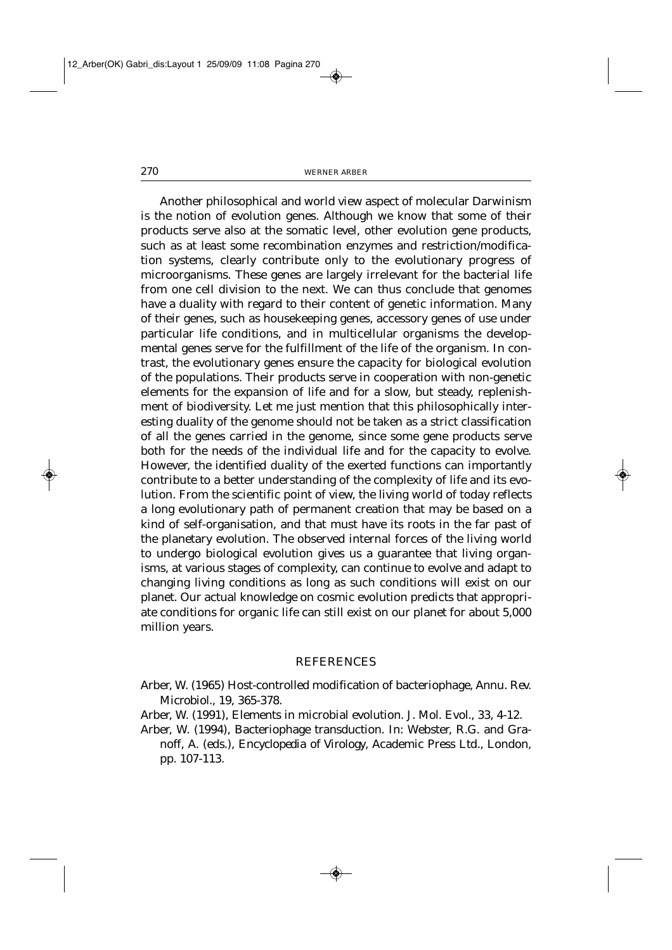Another philosophical and world view aspect of molecular Darwinism is the notion of evolution genes. Although we know that some of their products serve also at the somatic level, other evolution gene products, such as at least some recombination enzymes and restriction/modification systems, clearly contribute only to the evolutionary progress of microorganisms. These genes are largely irrelevant for the bacterial life from one cell division to the next. We can thus conclude that genomes have a duality with regard to their content of genetic information. Many of their genes, such as housekeeping genes, accessory genes of use under particular life conditions, and in multicellular organisms the developmental genes serve for the fulfillment of the life of the organism. In contrast, the evolutionary genes ensure the capacity for biological evolution of the populations. Their products serve in cooperation with non-genetic elements for the expansion of life and for a slow, but steady, replenishment of biodiversity. Let me just mention that this philosophically interesting duality of the genome should not be taken as a strict classification of all the genes carried in the genome, since some gene products serve both for the needs of the individual life and for the capacity to evolve. However, the identified duality of the exerted functions can importantly contribute to a better understanding of the complexity of life and its evolution. From the scientific point of view, the living world of today reflects a long evolutionary path of permanent creation that may be based on a kind of self-organisation, and that must have its roots in the far past of the planetary evolution. The observed internal forces of the living world to undergo biological evolution gives us a guarantee that living organisms, at various stages of complexity, can continue to evolve and adapt to changing living conditions as long as such conditions will exist on our planet. Our actual knowledge on cosmic evolution predicts that appropriate conditions for organic life can still exist on our planet for about 5,000 million years.

## REFERENCES

- Arber, W. (1965) Host-controlled modification of bacteriophage, *Annu. Rev. Microbiol.*, 19, 365-378.
- Arber, W. (1991), Elements in microbial evolution. *J. Mol. Evol*., 33, 4-12.
- Arber, W. (1994), Bacteriophage transduction. In: Webster, R.G. and Granoff, A. (eds.), *Encyclopedia of Virology*, Academic Press Ltd., London, pp. 107-113.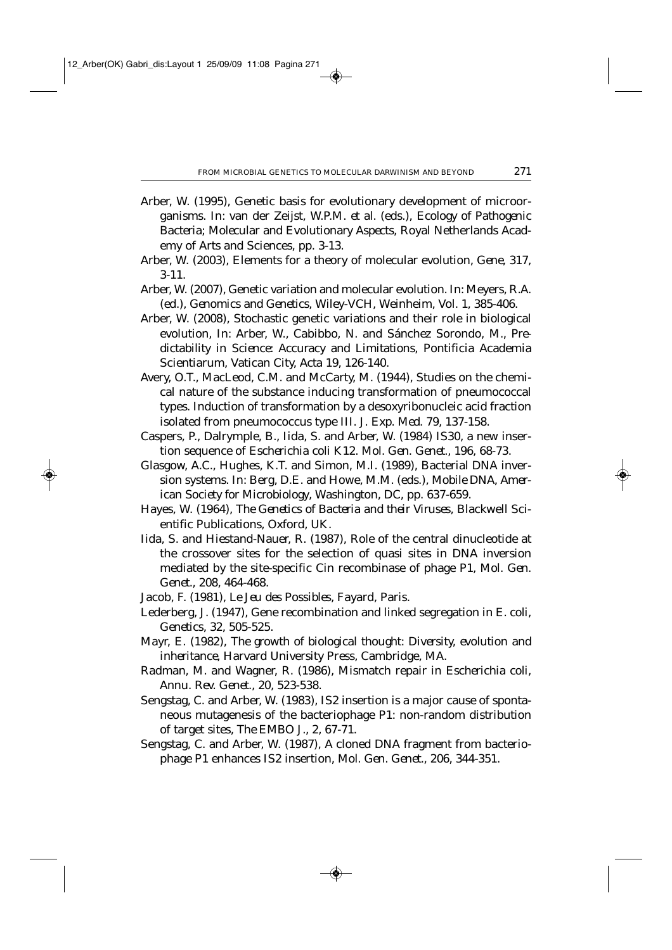- Arber, W. (1995), Genetic basis for evolutionary development of microorganisms. In: van der Zeijst, W.P.M. *et al.* (eds.), *Ecology of Pathogenic Bacteria; Molecular and Evolutionary Aspects*, Royal Netherlands Academy of Arts and Sciences, pp. 3-13.
- Arber, W. (2003), Elements for a theory of molecular evolution, *Gene*, 317, 3-11.
- Arber, W. (2007), Genetic variation and molecular evolution. In: Meyers, R.A. (ed.), *Genomics and Genetics*, Wiley-VCH, Weinheim, Vol. 1, 385-406.
- Arber, W. (2008), Stochastic genetic variations and their role in biological evolution, In: Arber, W., Cabibbo, N. and Sánchez Sorondo, M., *Predictability in Science: Accuracy and Limitations*, Pontificia Academia Scientiarum, Vatican City, *Acta* 19, 126-140.
- Avery, O.T., MacLeod, C.M. and McCarty, M. (1944), Studies on the chemical nature of the substance inducing transformation of pneumococcal types. Induction of transformation by a desoxyribonucleic acid fraction isolated from pneumococcus type III. *J. Exp. Med.* 79, 137-158.
- Caspers, P., Dalrymple, B., Iida, S. and Arber, W. (1984) IS30, a new insertion sequence of *Escherichia coli* K12. *Mol. Gen. Genet.*, 196, 68-73.
- Glasgow, A.C., Hughes, K.T. and Simon, M.I. (1989), Bacterial DNA inversion systems. In: Berg, D.E. and Howe, M.M. (eds.), *Mobile DNA, American Society for Microbiology*, Washington, DC, pp. 637-659.
- Hayes, W. (1964), *The Genetics of Bacteria and their Viruses*, Blackwell Scientific Publications, Oxford, UK.
- Iida, S. and Hiestand-Nauer, R. (1987), Role of the central dinucleotide at the crossover sites for the selection of quasi sites in DNA inversion mediated by the site-specific Cin recombinase of phage P1, *Mol. Gen. Genet.*, 208, 464-468.
- Jacob, F. (1981), *Le Jeu des Possibles*, Fayard, Paris.
- Lederberg, J. (1947), Gene recombination and linked segregation in *E. coli*, *Genetics*, 32, 505-525.
- Mayr, E. (1982), *The growth of biological thought: Diversity, evolution and inheritance*, Harvard University Press, Cambridge, MA.
- Radman, M. and Wagner, R. (1986), Mismatch repair in *Escherichia coli*, *Annu. Rev. Genet.*, 20, 523-538.
- Sengstag, C. and Arber, W. (1983), IS2 insertion is a major cause of spontaneous mutagenesis of the bacteriophage P1: non-random distribution of target sites, *The EMBO J.,* 2, 67-71.
- Sengstag, C. and Arber, W. (1987), A cloned DNA fragment from bacteriophage P1 enhances IS2 insertion, *Mol. Gen. Genet*., 206, 344-351.